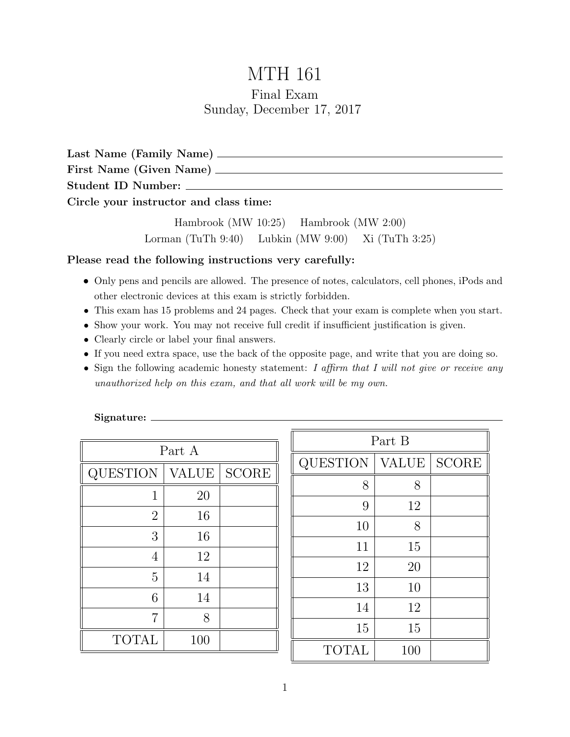# MTH 161 Final Exam Sunday, December 17, 2017

| Last Name (Family Name) _______        |  |
|----------------------------------------|--|
| First Name (Given Name) ________       |  |
| Student ID Number:                     |  |
| Circle your instructor and class time: |  |

Hambrook (MW 10:25) Hambrook (MW 2:00) Lorman (TuTh 9:40) Lubkin (MW 9:00) Xi (TuTh 3:25)

### Please read the following instructions very carefully:

- Only pens and pencils are allowed. The presence of notes, calculators, cell phones, iPods and other electronic devices at this exam is strictly forbidden.
- This exam has 15 problems and 24 pages. Check that your exam is complete when you start.
- Show your work. You may not receive full credit if insufficient justification is given.
- Clearly circle or label your final answers.
- If you need extra space, use the back of the opposite page, and write that you are doing so.
- Sign the following academic honesty statement: I affirm that I will not give or receive any unauthorized help on this exam, and that all work will be my own.

| Part A         |              |              |  |  |
|----------------|--------------|--------------|--|--|
| QUESTION       | <b>VALUE</b> | <b>SCORE</b> |  |  |
| 1              | 20           |              |  |  |
| $\overline{2}$ | 16           |              |  |  |
| 3              | 16           |              |  |  |
| 4              | 12           |              |  |  |
| 5              | 14           |              |  |  |
| 6              | 14           |              |  |  |
| 7              | 8            |              |  |  |
| <b>TOTAL</b>   | 100          |              |  |  |

| Part B       |              |              |  |
|--------------|--------------|--------------|--|
| QUESTION     | <b>VALUE</b> | <b>SCORE</b> |  |
| 8            | 8            |              |  |
| 9            | 12           |              |  |
| 10           | 8            |              |  |
| 11           | 15           |              |  |
| 12           | 20           |              |  |
| 13           | 10           |              |  |
| 14           | 12           |              |  |
| 15           | 15           |              |  |
| <b>TOTAL</b> | 100          |              |  |

#### Signature: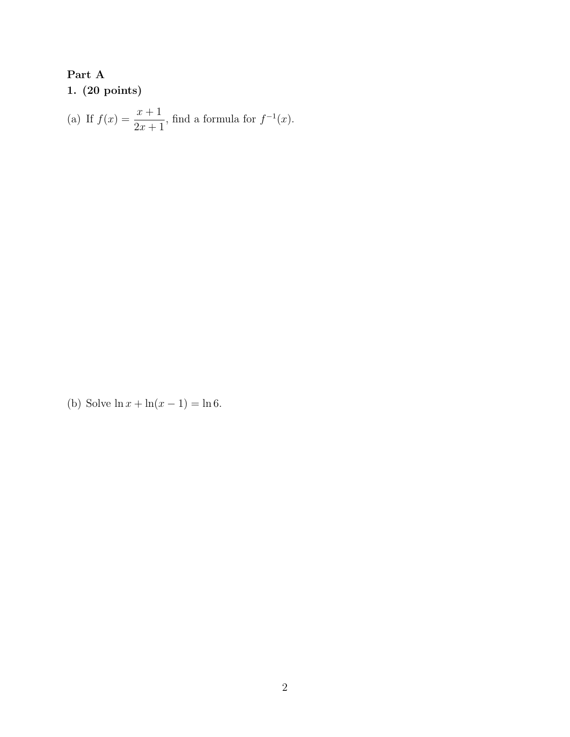# Part A 1. (20 points) (a) If  $f(x) = \frac{x+1}{2}$  $2x + 1$ , find a formula for  $f^{-1}(x)$ .

(b) Solve  $\ln x + \ln(x - 1) = \ln 6$ .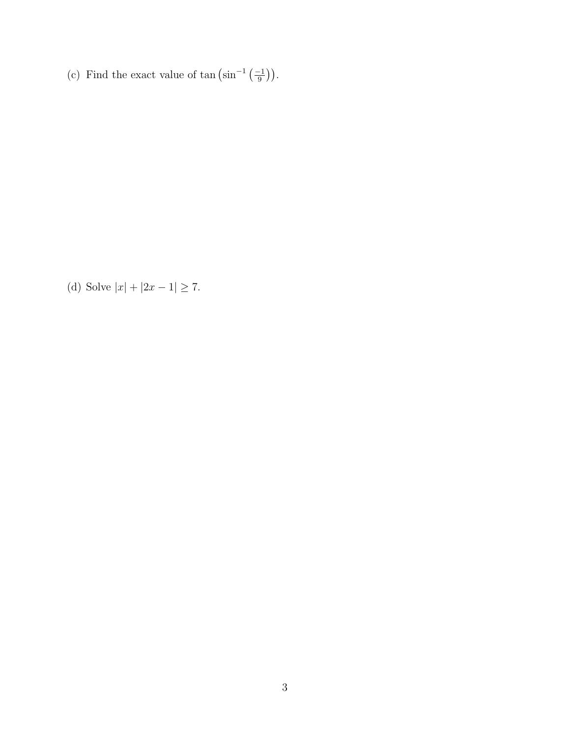(c) Find the exact value of tan  $\left(\sin^{-1}\left(\frac{-1}{2}\right)\right)$  $\frac{-1}{9})$ ).

(d) Solve  $|x| + |2x - 1| \ge 7$ .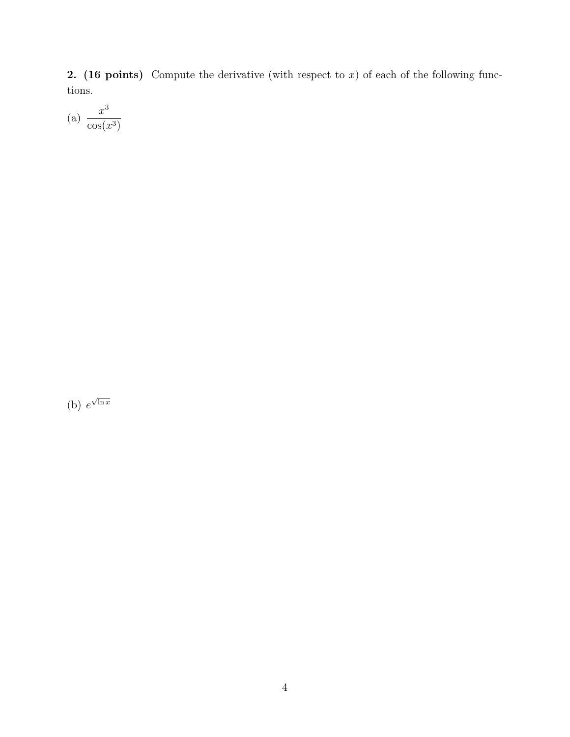2. (16 points) Compute the derivative (with respect to  $x$ ) of each of the following functions.

(a) 
$$
\frac{x^3}{\cos(x^3)}
$$

 $(b)$  e  $\sqrt{\ln x}$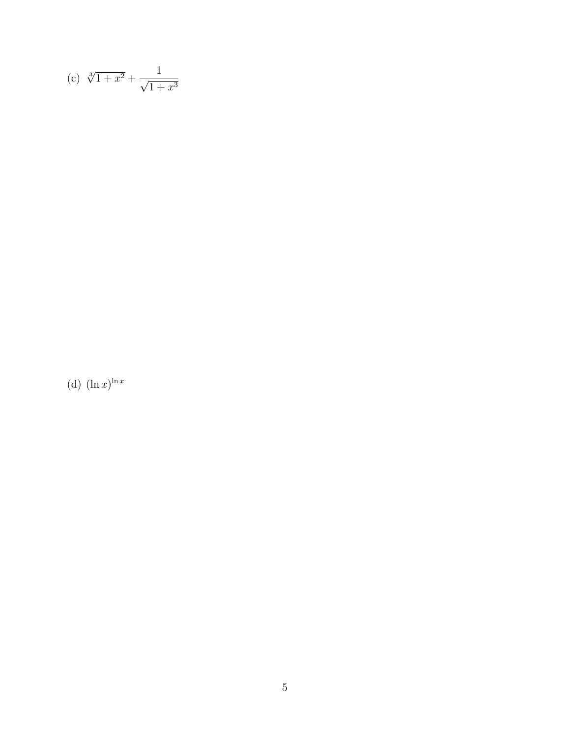(c) 
$$
\sqrt[3]{1+x^2} + \frac{1}{\sqrt{1+x^3}}
$$

(d)  $(\ln x)^{\ln x}$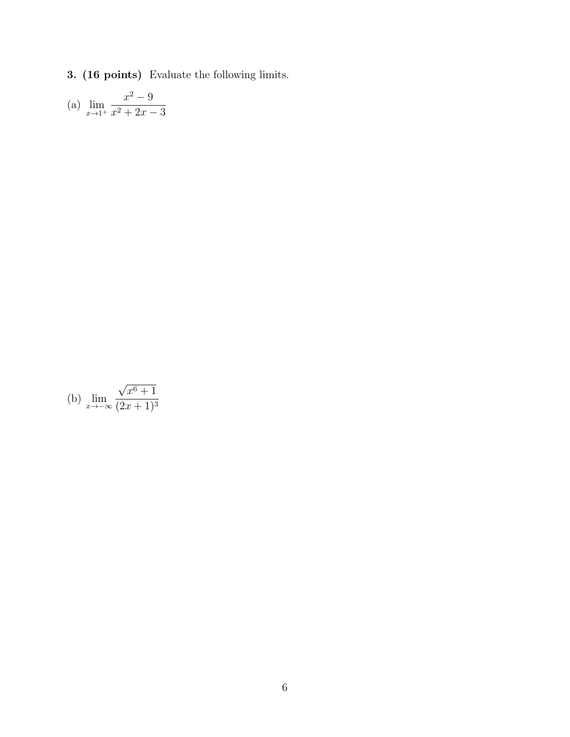3. (16 points) Evaluate the following limits.

(a) 
$$
\lim_{x \to 1^+} \frac{x^2 - 9}{x^2 + 2x - 3}
$$

(b) 
$$
\lim_{x \to -\infty} \frac{\sqrt{x^6 + 1}}{(2x + 1)^3}
$$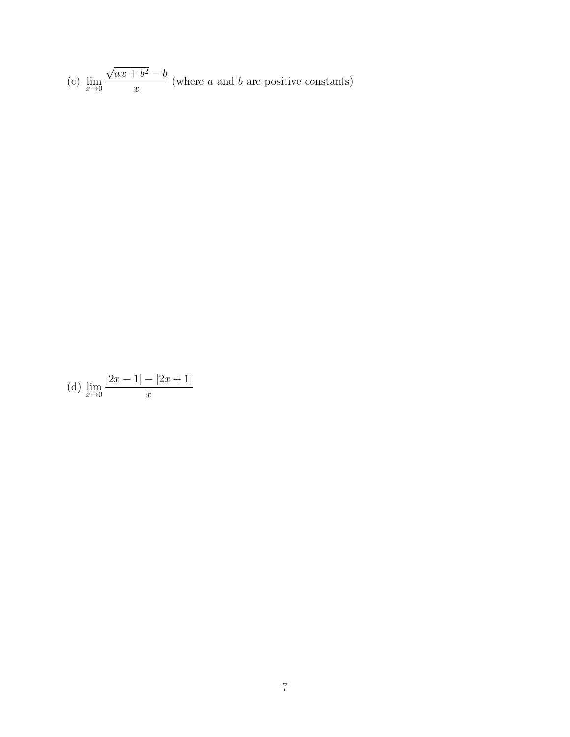(c) 
$$
\lim_{x \to 0} \frac{\sqrt{ax + b^2} - b}{x}
$$
 (where *a* and *b* are positive constants)

(d) 
$$
\lim_{x \to 0} \frac{|2x - 1| - |2x + 1|}{x}
$$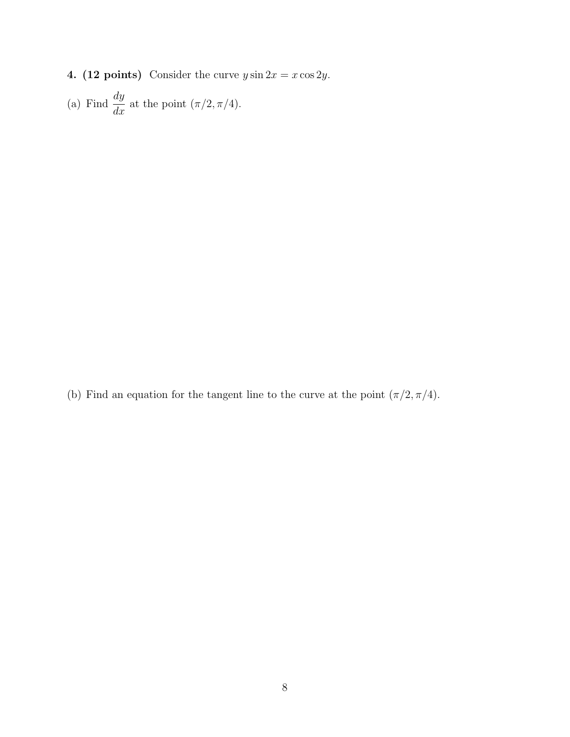- 4. (12 points) Consider the curve  $y \sin 2x = x \cos 2y$ .
- (a) Find  $\frac{dy}{dx}$  $\frac{dy}{dx}$  at the point  $(\pi/2, \pi/4)$ .

(b) Find an equation for the tangent line to the curve at the point  $(\pi/2, \pi/4)$ .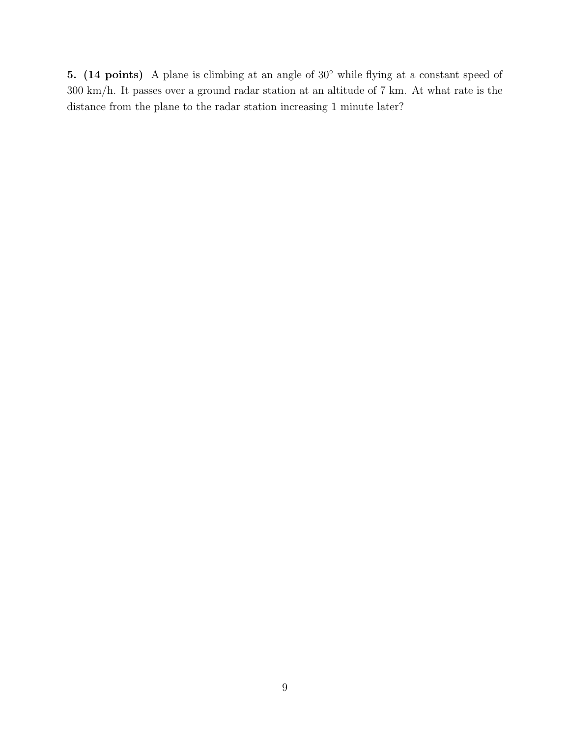5. (14 points) A plane is climbing at an angle of 30° while flying at a constant speed of 300 km/h. It passes over a ground radar station at an altitude of 7 km. At what rate is the distance from the plane to the radar station increasing 1 minute later?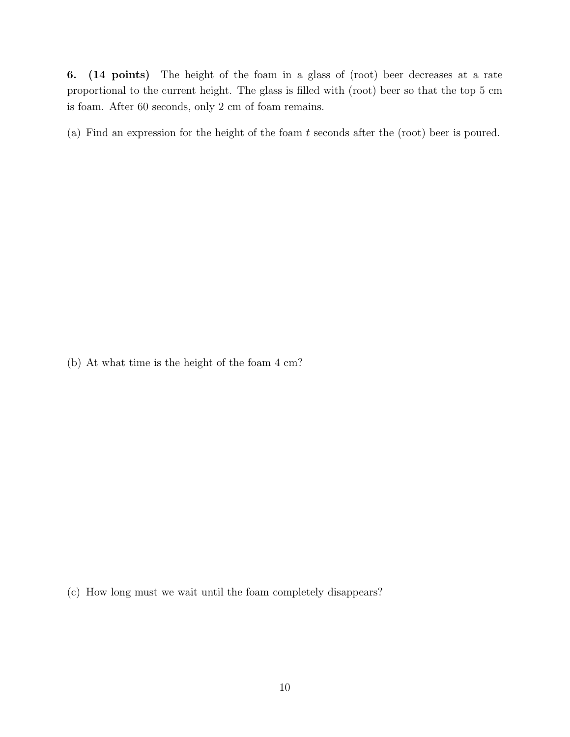6. (14 points) The height of the foam in a glass of (root) beer decreases at a rate proportional to the current height. The glass is filled with (root) beer so that the top 5 cm is foam. After 60 seconds, only 2 cm of foam remains.

(a) Find an expression for the height of the foam t seconds after the (root) beer is poured.

(b) At what time is the height of the foam 4 cm?

(c) How long must we wait until the foam completely disappears?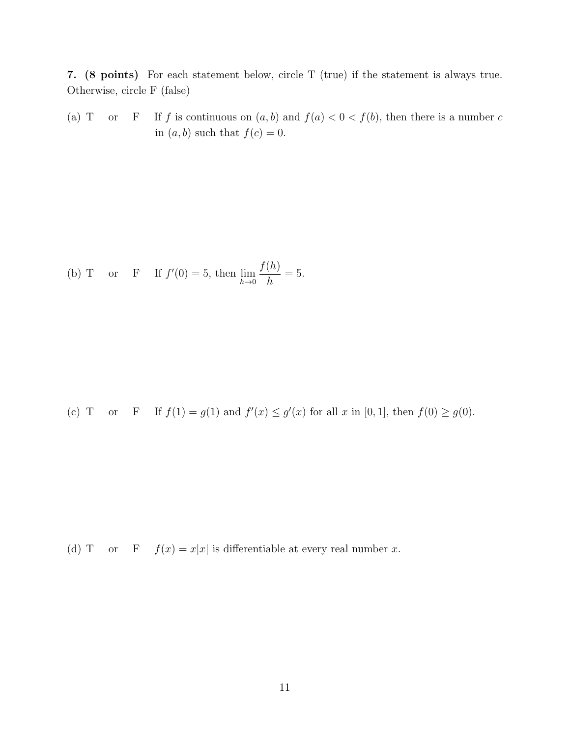7. (8 points) For each statement below, circle T (true) if the statement is always true. Otherwise, circle F (false)

(a) T or F If f is continuous on  $(a, b)$  and  $f(a) < 0 < f(b)$ , then there is a number c in  $(a, b)$  such that  $f(c) = 0$ .

(b) T or F If 
$$
f'(0) = 5
$$
, then  $\lim_{h \to 0} \frac{f(h)}{h} = 5$ .

(c) T or F If  $f(1) = g(1)$  and  $f'(x) \le g'(x)$  for all x in  $[0, 1]$ , then  $f(0) \ge g(0)$ .

(d) T or F  $f(x) = x|x|$  is differentiable at every real number x.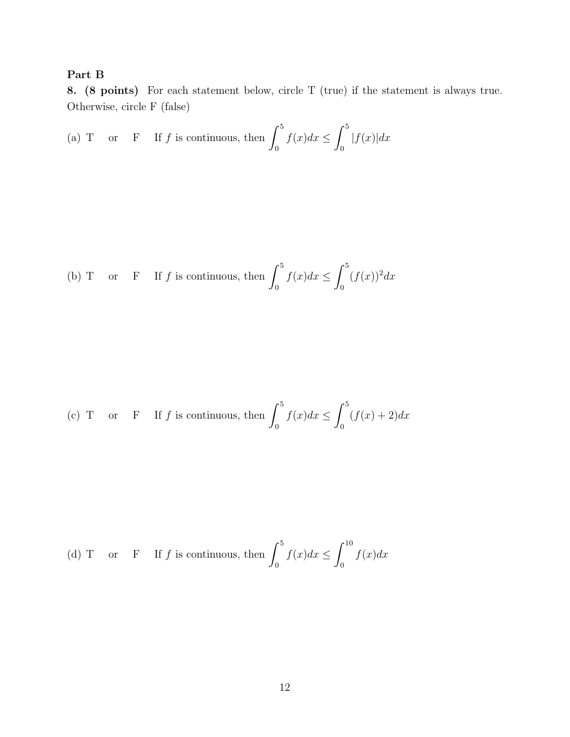# Part B

8. (8 points) For each statement below, circle T (true) if the statement is always true. Otherwise, circle F (false)

(a) T or F If f is continuous, then 
$$
\int_0^5 f(x)dx \le \int_0^5 |f(x)|dx
$$

(b) T or F If f is continuous, then 
$$
\int_0^5 f(x)dx \le \int_0^5 (f(x))^2 dx
$$

(c) T or F If f is continuous, then 
$$
\int_0^5 f(x)dx \le \int_0^5 (f(x) + 2)dx
$$

(d) T or F If f is continuous, then 
$$
\int_0^5 f(x)dx \le \int_0^{10} f(x)dx
$$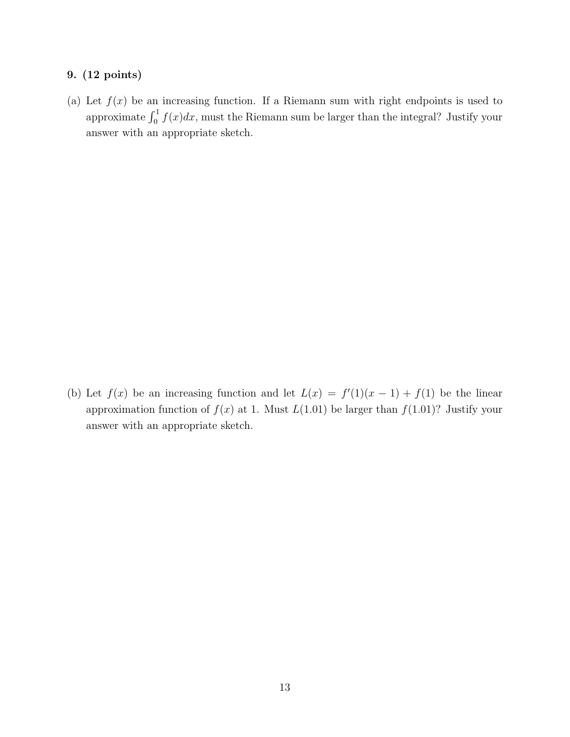### 9. (12 points)

(a) Let  $f(x)$  be an increasing function. If a Riemann sum with right endpoints is used to approximate  $\int_0^1 f(x)dx$ , must the Riemann sum be larger than the integral? Justify your answer with an appropriate sketch.

(b) Let  $f(x)$  be an increasing function and let  $L(x) = f'(1)(x-1) + f(1)$  be the linear approximation function of  $f(x)$  at 1. Must  $L(1.01)$  be larger than  $f(1.01)$ ? Justify your answer with an appropriate sketch.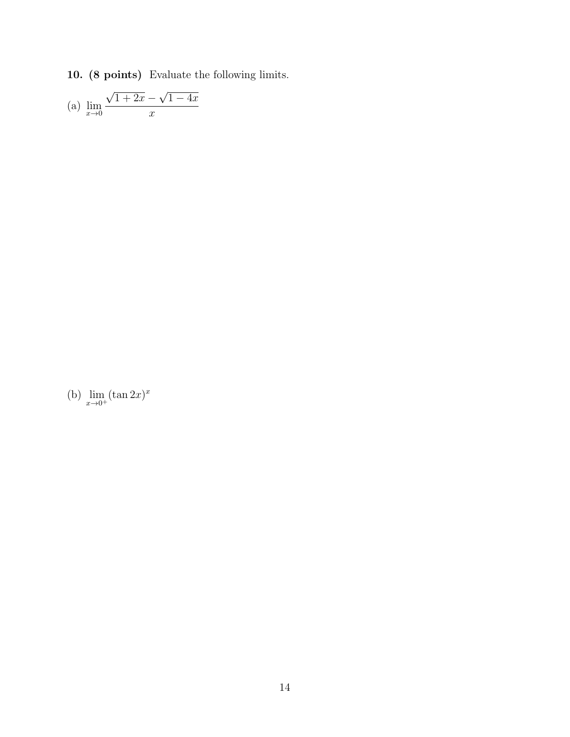10. (8 points) Evaluate the following limits.

(a) 
$$
\lim_{x \to 0} \frac{\sqrt{1 + 2x} - \sqrt{1 - 4x}}{x}
$$

(b)  $\lim_{x\to 0^+} (\tan 2x)^x$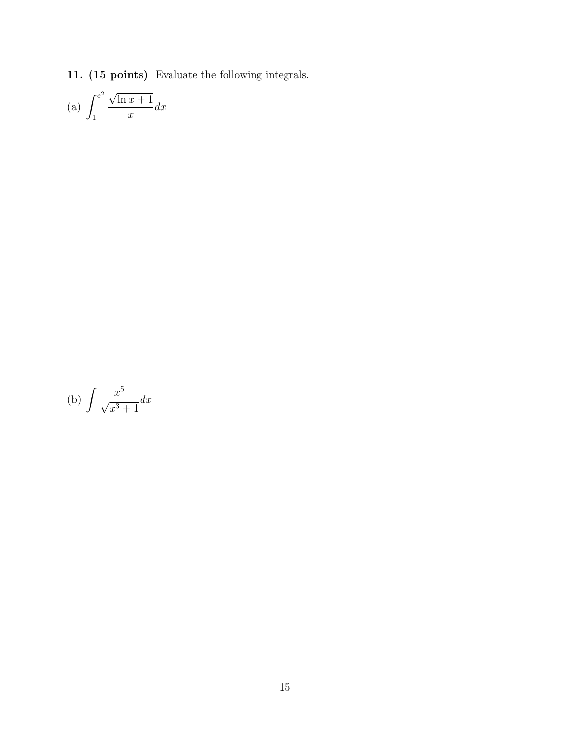11. (15 points) Evaluate the following integrals.

(a) 
$$
\int_{1}^{e^2} \frac{\sqrt{\ln x + 1}}{x} dx
$$

(b) 
$$
\int \frac{x^5}{\sqrt{x^3+1}} dx
$$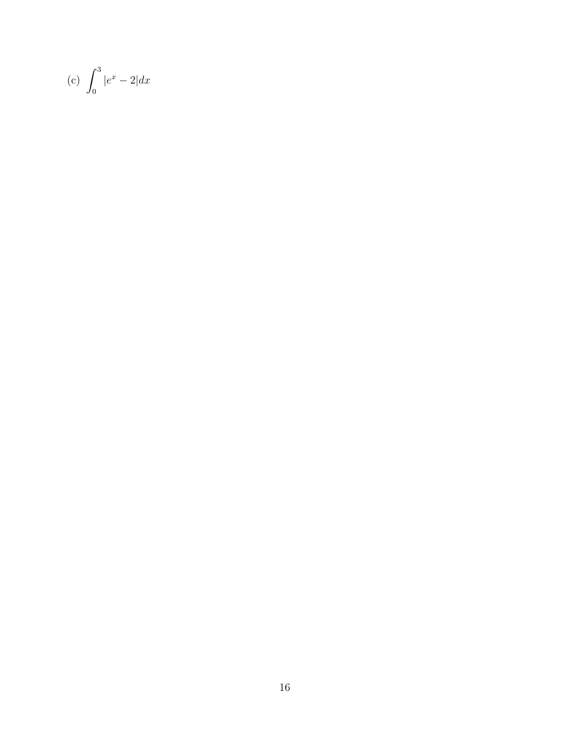(c) 
$$
\int_0^3 |e^x - 2| dx
$$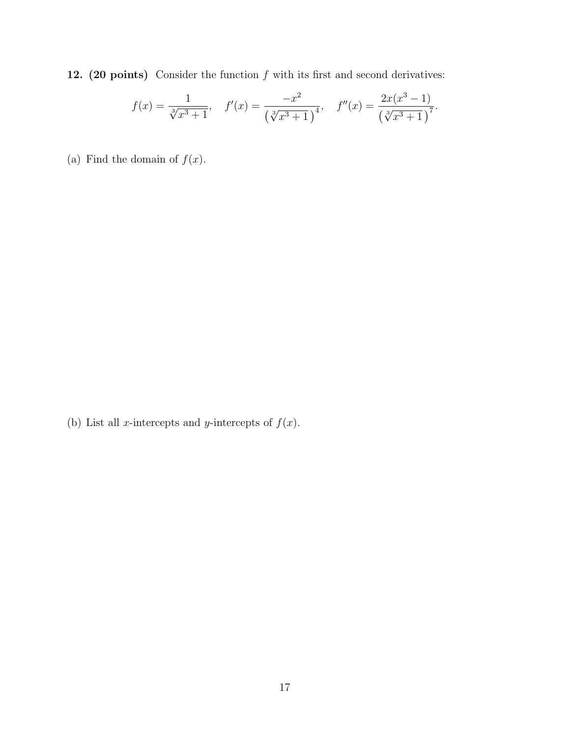12. (20 points) Consider the function  $f$  with its first and second derivatives:

$$
f(x) = \frac{1}{\sqrt[3]{x^3 + 1}}, \quad f'(x) = \frac{-x^2}{(\sqrt[3]{x^3 + 1})^4}, \quad f''(x) = \frac{2x(x^3 - 1)}{(\sqrt[3]{x^3 + 1})^7}.
$$

(a) Find the domain of  $f(x)$ .

(b) List all *x*-intercepts and *y*-intercepts of  $f(x)$ .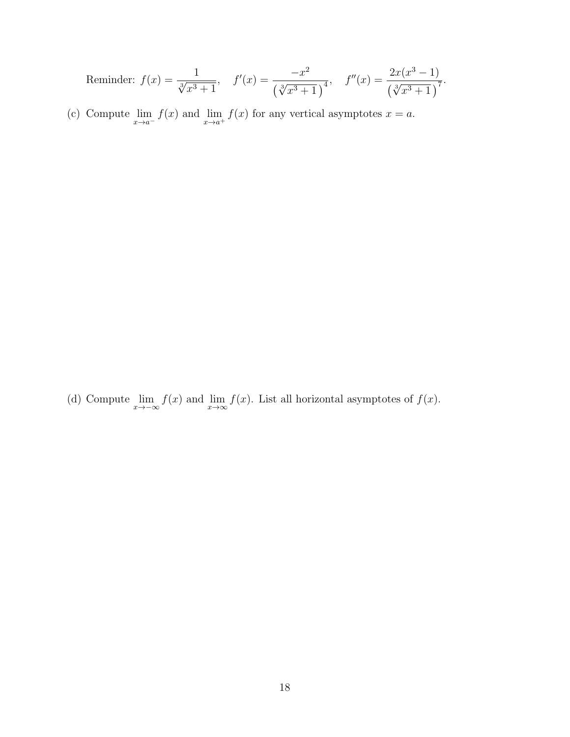Reminder: 
$$
f(x) = \frac{1}{\sqrt[3]{x^3 + 1}},
$$
  $f'(x) = \frac{-x^2}{(\sqrt[3]{x^3 + 1})^4},$   $f''(x) = \frac{2x(x^3 - 1)}{(\sqrt[3]{x^3 + 1})^7}.$ 

(c) Compute  $\lim_{x \to a^{-}} f(x)$  and  $\lim_{x \to a^{+}} f(x)$  for any vertical asymptotes  $x = a$ .

(d) Compute  $\lim_{x \to -\infty} f(x)$  and  $\lim_{x \to \infty} f(x)$ . List all horizontal asymptotes of  $f(x)$ .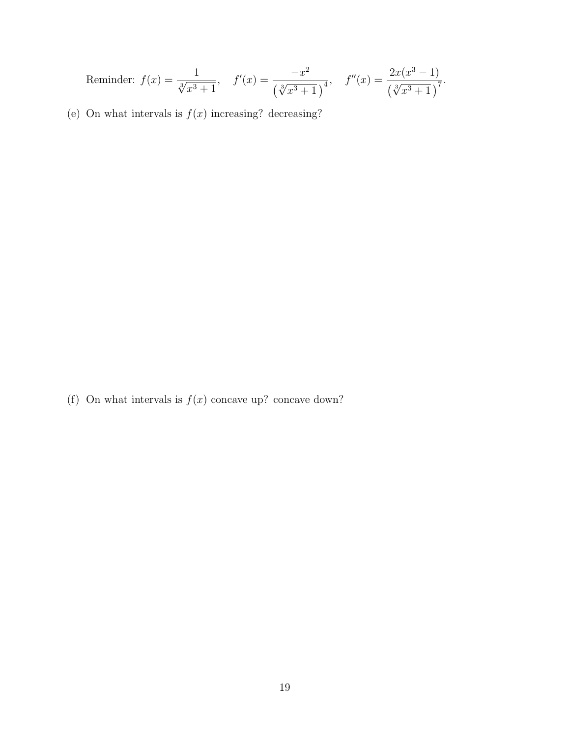Reminder: 
$$
f(x) = \frac{1}{\sqrt[3]{x^3 + 1}}
$$
,  $f'(x) = \frac{-x^2}{(\sqrt[3]{x^3 + 1})^4}$ ,  $f''(x) = \frac{2x(x^3 - 1)}{(\sqrt[3]{x^3 + 1})^7}$ .

(e) On what intervals is  $f(x)$  increasing? decreasing?

(f) On what intervals is  $f(x)$  concave up? concave down?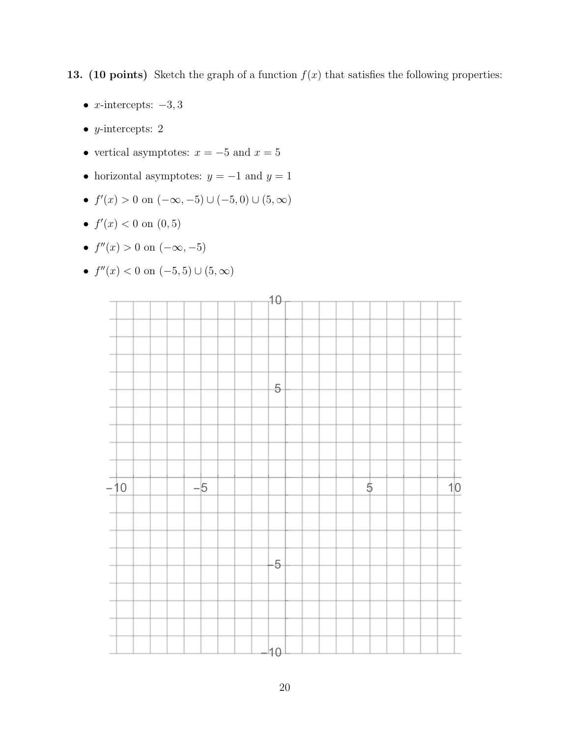13. (10 points) Sketch the graph of a function  $f(x)$  that satisfies the following properties:

- $x$ -intercepts:  $-3, 3$
- *y*-intercepts: 2
- vertical asymptotes:  $x = -5$  and  $x = 5$
- horizontal asymptotes:  $y = -1$  and  $y = 1$
- $f'(x) > 0$  on  $(-\infty, -5) \cup (-5, 0) \cup (5, \infty)$
- $f'(x) < 0$  on  $(0, 5)$
- $f''(x) > 0$  on  $(-\infty, -5)$
- $f''(x) < 0$  on  $(-5, 5) \cup (5, \infty)$

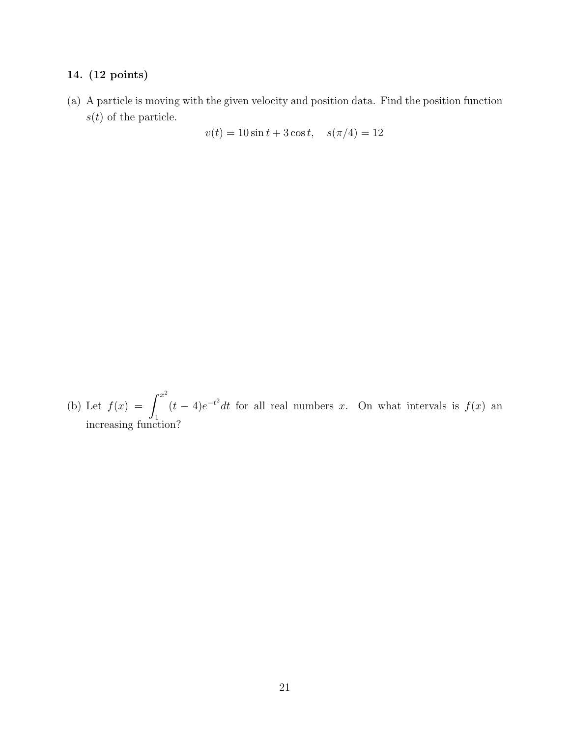### 14. (12 points)

(a) A particle is moving with the given velocity and position data. Find the position function  $s(t)$  of the particle.

 $v(t) = 10 \sin t + 3 \cos t$ ,  $s(\pi/4) = 12$ 

(b) Let  $f(x) = \int^{x^2}$ 1  $(t-4)e^{-t^2}dt$  for all real numbers x. On what intervals is  $f(x)$  and increasing function?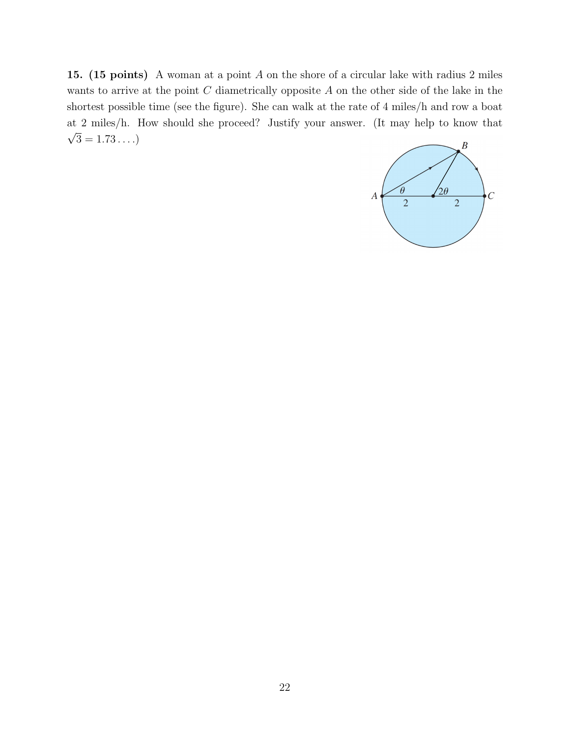15. (15 points) A woman at a point A on the shore of a circular lake with radius 2 miles wants to arrive at the point  $C$  diametrically opposite  $A$  on the other side of the lake in the shortest possible time (see the figure). She can walk at the rate of 4 miles/h and row a boat at 2 miles/h. How should she proceed? Justify your answer. (It may help to know that √  $3 = 1.73...$ 

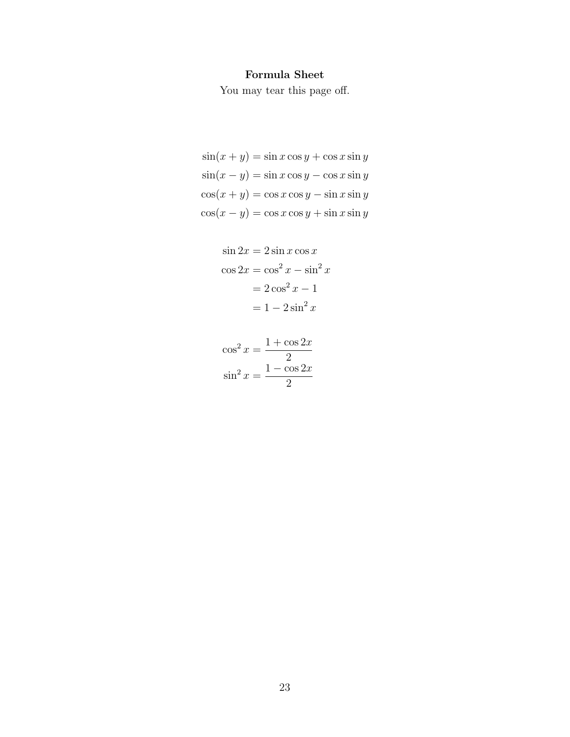# Formula Sheet

You may tear this page off.

 $\sin(x + y) = \sin x \cos y + \cos x \sin y$  $sin(x - y) = sin x cos y - cos x sin y$  $cos(x + y) = cos x cos y - sin x sin y$  $cos(x - y) = cos x cos y + sin x sin y$ 

$$
\sin 2x = 2 \sin x \cos x
$$

$$
\cos 2x = \cos^2 x - \sin^2 x
$$

$$
= 2 \cos^2 x - 1
$$

$$
= 1 - 2 \sin^2 x
$$

$$
\cos^2 x = \frac{1 + \cos 2x}{2}
$$

$$
\sin^2 x = \frac{1 - \cos 2x}{2}
$$